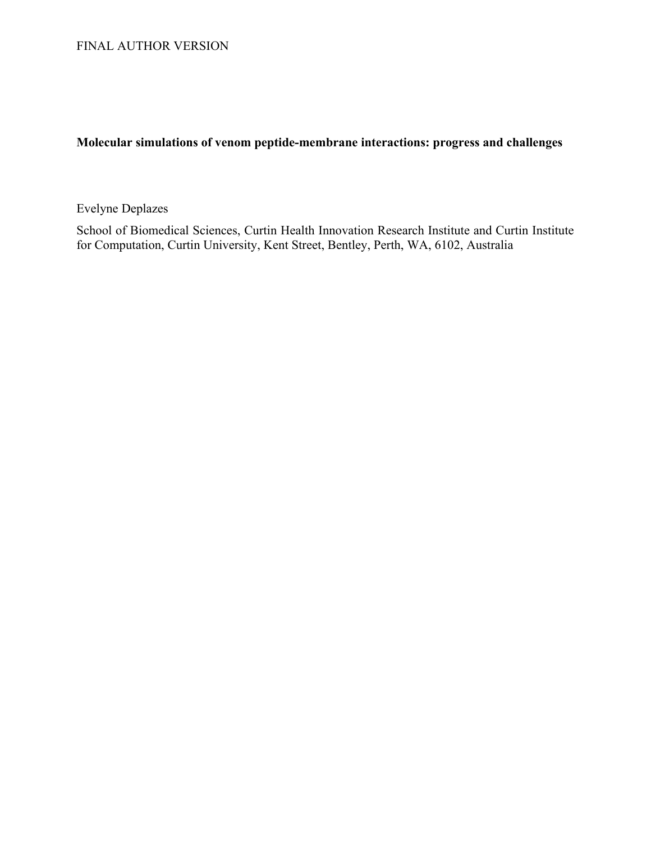# **Molecular simulations of venom peptide-membrane interactions: progress and challenges**

Evelyne Deplazes

School of Biomedical Sciences, Curtin Health Innovation Research Institute and Curtin Institute for Computation, Curtin University, Kent Street, Bentley, Perth, WA, 6102, Australia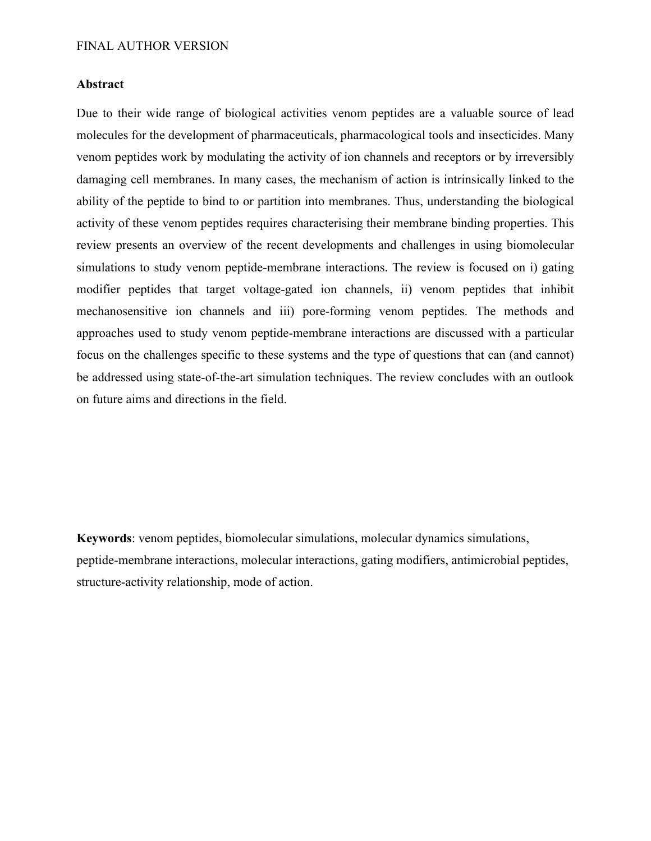# **Abstract**

Due to their wide range of biological activities venom peptides are a valuable source of lead molecules for the development of pharmaceuticals, pharmacological tools and insecticides. Many venom peptides work by modulating the activity of ion channels and receptors or by irreversibly damaging cell membranes. In many cases, the mechanism of action is intrinsically linked to the ability of the peptide to bind to or partition into membranes. Thus, understanding the biological activity of these venom peptides requires characterising their membrane binding properties. This review presents an overview of the recent developments and challenges in using biomolecular simulations to study venom peptide-membrane interactions. The review is focused on i) gating modifier peptides that target voltage-gated ion channels, ii) venom peptides that inhibit mechanosensitive ion channels and iii) pore-forming venom peptides. The methods and approaches used to study venom peptide-membrane interactions are discussed with a particular focus on the challenges specific to these systems and the type of questions that can (and cannot) be addressed using state-of-the-art simulation techniques. The review concludes with an outlook on future aims and directions in the field.

**Keywords**: venom peptides, biomolecular simulations, molecular dynamics simulations, peptide-membrane interactions, molecular interactions, gating modifiers, antimicrobial peptides, structure-activity relationship, mode of action.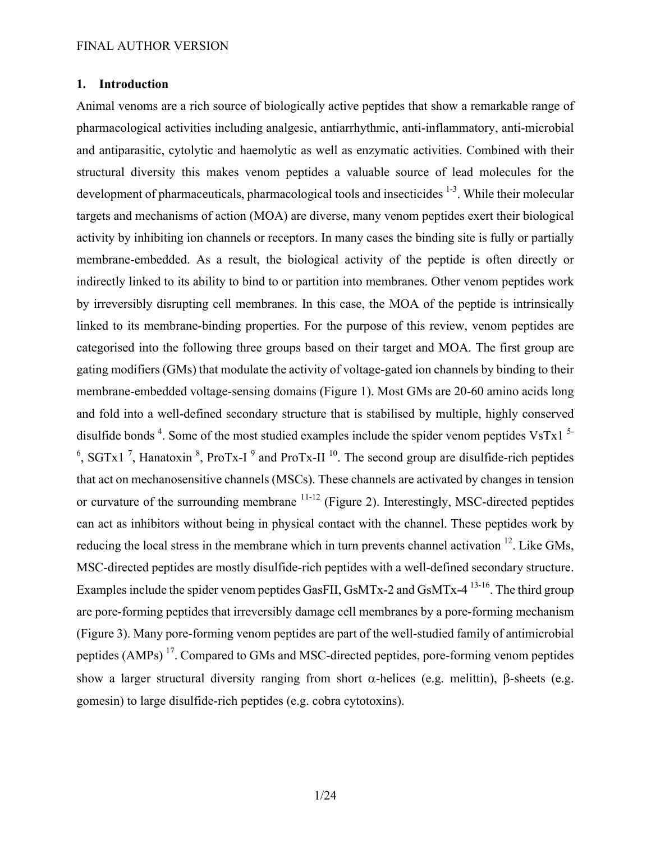# **1. Introduction**

Animal venoms are a rich source of biologically active peptides that show a remarkable range of pharmacological activities including analgesic, antiarrhythmic, anti-inflammatory, anti-microbial and antiparasitic, cytolytic and haemolytic as well as enzymatic activities. Combined with their structural diversity this makes venom peptides a valuable source of lead molecules for the development of pharmaceuticals, pharmacological tools and insecticides <sup>1-3</sup>. While their molecular targets and mechanisms of action (MOA) are diverse, many venom peptides exert their biological activity by inhibiting ion channels or receptors. In many cases the binding site is fully or partially membrane-embedded. As a result, the biological activity of the peptide is often directly or indirectly linked to its ability to bind to or partition into membranes. Other venom peptides work by irreversibly disrupting cell membranes. In this case, the MOA of the peptide is intrinsically linked to its membrane-binding properties. For the purpose of this review, venom peptides are categorised into the following three groups based on their target and MOA. The first group are gating modifiers (GMs) that modulate the activity of voltage-gated ion channels by binding to their membrane-embedded voltage-sensing domains (Figure 1). Most GMs are 20-60 amino acids long and fold into a well-defined secondary structure that is stabilised by multiple, highly conserved disulfide bonds<sup>4</sup>. Some of the most studied examples include the spider venom peptides VsTx1<sup>5-</sup> <sup>6</sup>, SGTx1<sup>7</sup>, Hanatoxin<sup>8</sup>, ProTx-I<sup>9</sup> and ProTx-II<sup>10</sup>. The second group are disulfide-rich peptides that act on mechanosensitive channels (MSCs). These channels are activated by changes in tension or curvature of the surrounding membrane 11-12 (Figure 2). Interestingly, MSC-directed peptides can act as inhibitors without being in physical contact with the channel. These peptides work by reducing the local stress in the membrane which in turn prevents channel activation <sup>12</sup>. Like GMs, MSC-directed peptides are mostly disulfide-rich peptides with a well-defined secondary structure. Examples include the spider venom peptides GasFII, GsMTx-2 and GsMTx-4<sup>13-16</sup>. The third group are pore-forming peptides that irreversibly damage cell membranes by a pore-forming mechanism (Figure 3). Many pore-forming venom peptides are part of the well-studied family of antimicrobial peptides (AMPs) 17. Compared to GMs and MSC-directed peptides, pore-forming venom peptides show a larger structural diversity ranging from short  $\alpha$ -helices (e.g. melittin),  $\beta$ -sheets (e.g. gomesin) to large disulfide-rich peptides (e.g. cobra cytotoxins).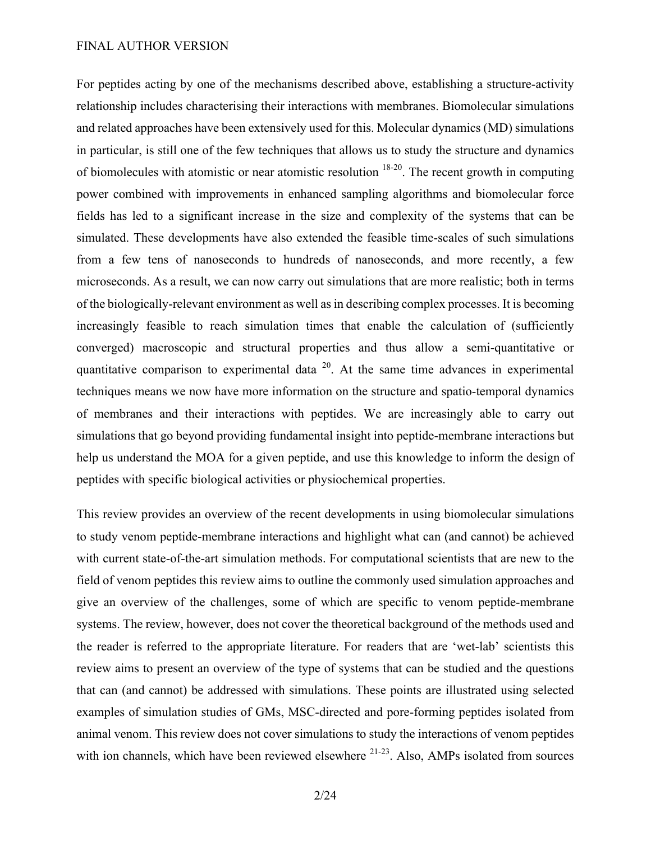For peptides acting by one of the mechanisms described above, establishing a structure-activity relationship includes characterising their interactions with membranes. Biomolecular simulations and related approaches have been extensively used for this. Molecular dynamics (MD) simulations in particular, is still one of the few techniques that allows us to study the structure and dynamics of biomolecules with atomistic or near atomistic resolution 18-20. The recent growth in computing power combined with improvements in enhanced sampling algorithms and biomolecular force fields has led to a significant increase in the size and complexity of the systems that can be simulated. These developments have also extended the feasible time-scales of such simulations from a few tens of nanoseconds to hundreds of nanoseconds, and more recently, a few microseconds. As a result, we can now carry out simulations that are more realistic; both in terms of the biologically-relevant environment as well as in describing complex processes. It is becoming increasingly feasible to reach simulation times that enable the calculation of (sufficiently converged) macroscopic and structural properties and thus allow a semi-quantitative or quantitative comparison to experimental data  $20$ . At the same time advances in experimental techniques means we now have more information on the structure and spatio-temporal dynamics of membranes and their interactions with peptides. We are increasingly able to carry out simulations that go beyond providing fundamental insight into peptide-membrane interactions but help us understand the MOA for a given peptide, and use this knowledge to inform the design of peptides with specific biological activities or physiochemical properties.

This review provides an overview of the recent developments in using biomolecular simulations to study venom peptide-membrane interactions and highlight what can (and cannot) be achieved with current state-of-the-art simulation methods. For computational scientists that are new to the field of venom peptides this review aims to outline the commonly used simulation approaches and give an overview of the challenges, some of which are specific to venom peptide-membrane systems. The review, however, does not cover the theoretical background of the methods used and the reader is referred to the appropriate literature. For readers that are 'wet-lab' scientists this review aims to present an overview of the type of systems that can be studied and the questions that can (and cannot) be addressed with simulations. These points are illustrated using selected examples of simulation studies of GMs, MSC-directed and pore-forming peptides isolated from animal venom. This review does not cover simulations to study the interactions of venom peptides with ion channels, which have been reviewed elsewhere  $21-23$ . Also, AMPs isolated from sources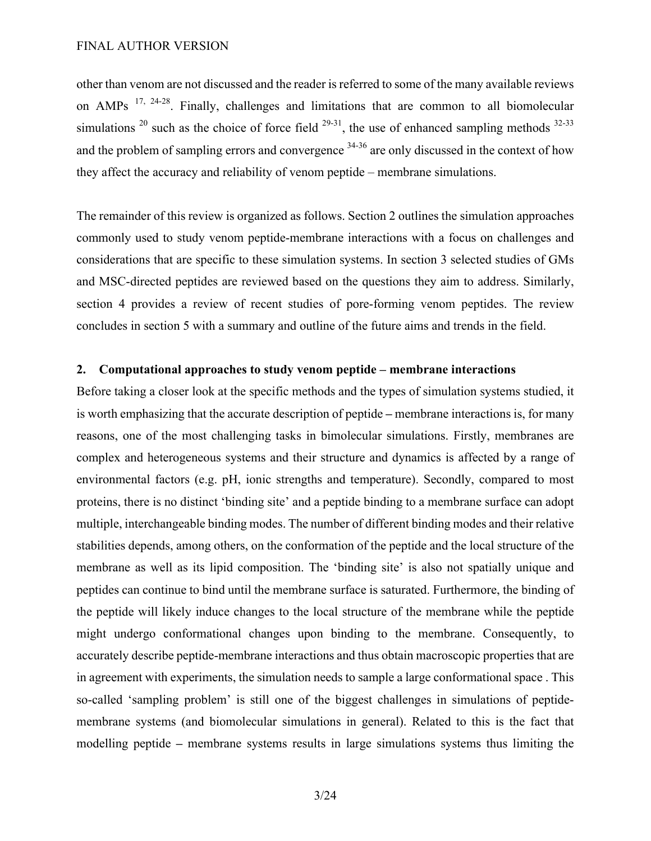other than venom are not discussed and the reader is referred to some of the many available reviews on AMPs  $17, 24-28$ . Finally, challenges and limitations that are common to all biomolecular simulations  $^{20}$  such as the choice of force field  $^{29-31}$ , the use of enhanced sampling methods  $^{32-33}$ and the problem of sampling errors and convergence <sup>34-36</sup> are only discussed in the context of how they affect the accuracy and reliability of venom peptide – membrane simulations.

The remainder of this review is organized as follows. Section 2 outlines the simulation approaches commonly used to study venom peptide-membrane interactions with a focus on challenges and considerations that are specific to these simulation systems. In section 3 selected studies of GMs and MSC-directed peptides are reviewed based on the questions they aim to address. Similarly, section 4 provides a review of recent studies of pore-forming venom peptides. The review concludes in section 5 with a summary and outline of the future aims and trends in the field.

### **2. Computational approaches to study venom peptide – membrane interactions**

Before taking a closer look at the specific methods and the types of simulation systems studied, it is worth emphasizing that the accurate description of peptide **–** membrane interactions is, for many reasons, one of the most challenging tasks in bimolecular simulations. Firstly, membranes are complex and heterogeneous systems and their structure and dynamics is affected by a range of environmental factors (e.g. pH, ionic strengths and temperature). Secondly, compared to most proteins, there is no distinct 'binding site' and a peptide binding to a membrane surface can adopt multiple, interchangeable binding modes. The number of different binding modes and their relative stabilities depends, among others, on the conformation of the peptide and the local structure of the membrane as well as its lipid composition. The 'binding site' is also not spatially unique and peptides can continue to bind until the membrane surface is saturated. Furthermore, the binding of the peptide will likely induce changes to the local structure of the membrane while the peptide might undergo conformational changes upon binding to the membrane. Consequently, to accurately describe peptide-membrane interactions and thus obtain macroscopic properties that are in agreement with experiments, the simulation needs to sample a large conformational space . This so-called 'sampling problem' is still one of the biggest challenges in simulations of peptidemembrane systems (and biomolecular simulations in general). Related to this is the fact that modelling peptide **–** membrane systems results in large simulations systems thus limiting the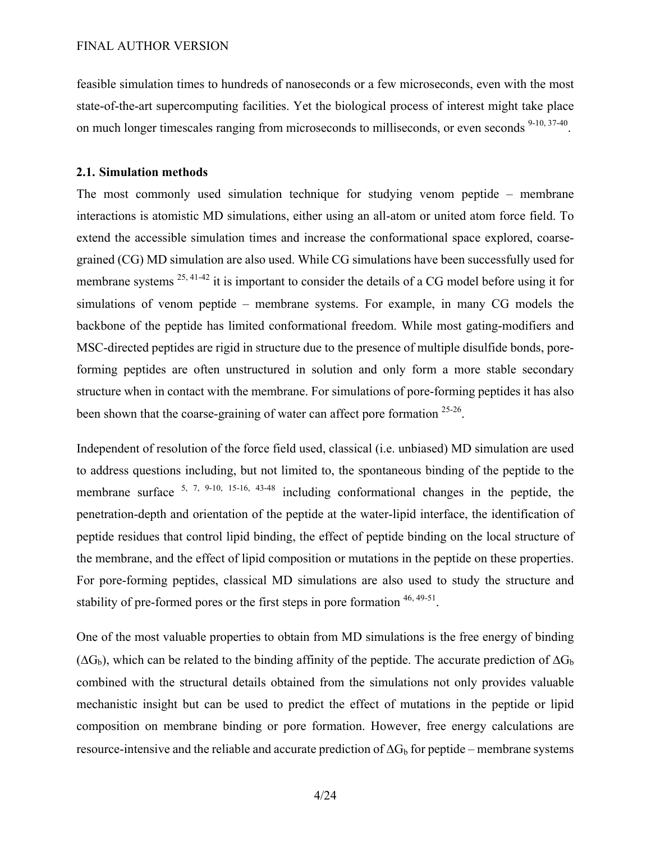feasible simulation times to hundreds of nanoseconds or a few microseconds, even with the most state-of-the-art supercomputing facilities. Yet the biological process of interest might take place on much longer timescales ranging from microseconds to milliseconds, or even seconds <sup>9-10, 37-40</sup>.

# **2.1. Simulation methods**

The most commonly used simulation technique for studying venom peptide – membrane interactions is atomistic MD simulations, either using an all-atom or united atom force field. To extend the accessible simulation times and increase the conformational space explored, coarsegrained (CG) MD simulation are also used. While CG simulations have been successfully used for membrane systems  $^{25, 41-42}$  it is important to consider the details of a CG model before using it for simulations of venom peptide – membrane systems. For example, in many CG models the backbone of the peptide has limited conformational freedom. While most gating-modifiers and MSC-directed peptides are rigid in structure due to the presence of multiple disulfide bonds, poreforming peptides are often unstructured in solution and only form a more stable secondary structure when in contact with the membrane. For simulations of pore-forming peptides it has also been shown that the coarse-graining of water can affect pore formation <sup>25-26</sup>.

Independent of resolution of the force field used, classical (i.e. unbiased) MD simulation are used to address questions including, but not limited to, the spontaneous binding of the peptide to the membrane surface  $5, 7, 9-10, 15-16, 43-48$  including conformational changes in the peptide, the penetration-depth and orientation of the peptide at the water-lipid interface, the identification of peptide residues that control lipid binding, the effect of peptide binding on the local structure of the membrane, and the effect of lipid composition or mutations in the peptide on these properties. For pore-forming peptides, classical MD simulations are also used to study the structure and stability of pre-formed pores or the first steps in pore formation  $46, 49.51$ .

One of the most valuable properties to obtain from MD simulations is the free energy of binding  $(\Delta G_b)$ , which can be related to the binding affinity of the peptide. The accurate prediction of  $\Delta G_b$ combined with the structural details obtained from the simulations not only provides valuable mechanistic insight but can be used to predict the effect of mutations in the peptide or lipid composition on membrane binding or pore formation. However, free energy calculations are resource-intensive and the reliable and accurate prediction of  $\Delta G_b$  for peptide – membrane systems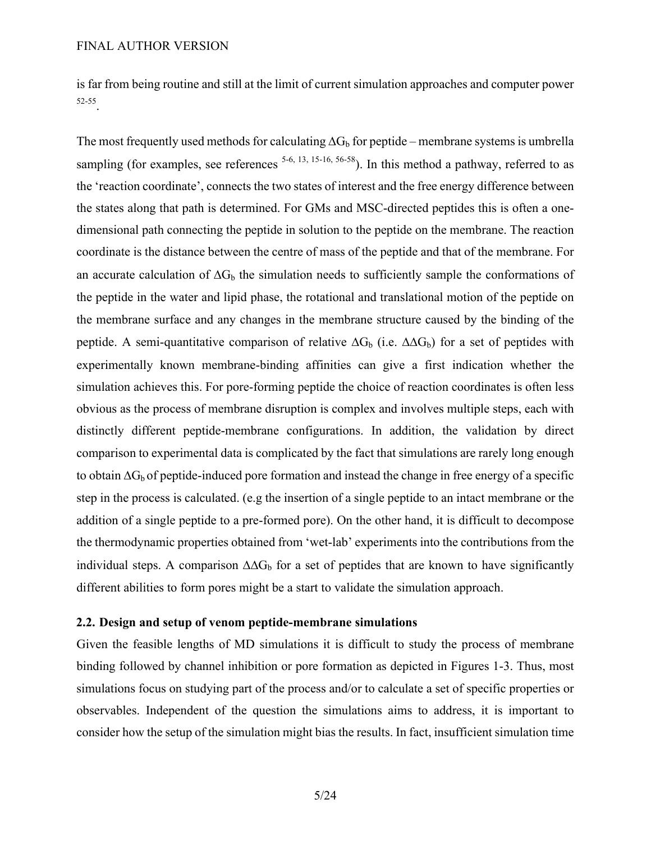is far from being routine and still at the limit of current simulation approaches and computer power 52-55.

The most frequently used methods for calculating  $\Delta G_b$  for peptide – membrane systems is umbrella sampling (for examples, see references  $5-6$ , 13, 15-16, 56-58). In this method a pathway, referred to as the 'reaction coordinate', connects the two states of interest and the free energy difference between the states along that path is determined. For GMs and MSC-directed peptides this is often a onedimensional path connecting the peptide in solution to the peptide on the membrane. The reaction coordinate is the distance between the centre of mass of the peptide and that of the membrane. For an accurate calculation of  $\Delta G_b$  the simulation needs to sufficiently sample the conformations of the peptide in the water and lipid phase, the rotational and translational motion of the peptide on the membrane surface and any changes in the membrane structure caused by the binding of the peptide. A semi-quantitative comparison of relative  $\Delta G_b$  (i.e.  $\Delta \Delta G_b$ ) for a set of peptides with experimentally known membrane-binding affinities can give a first indication whether the simulation achieves this. For pore-forming peptide the choice of reaction coordinates is often less obvious as the process of membrane disruption is complex and involves multiple steps, each with distinctly different peptide-membrane configurations. In addition, the validation by direct comparison to experimental data is complicated by the fact that simulations are rarely long enough to obtain  $\Delta G_b$  of peptide-induced pore formation and instead the change in free energy of a specific step in the process is calculated. (e.g the insertion of a single peptide to an intact membrane or the addition of a single peptide to a pre-formed pore). On the other hand, it is difficult to decompose the thermodynamic properties obtained from 'wet-lab' experiments into the contributions from the individual steps. A comparison  $\Delta\Delta G_b$  for a set of peptides that are known to have significantly different abilities to form pores might be a start to validate the simulation approach.

# **2.2. Design and setup of venom peptide-membrane simulations**

Given the feasible lengths of MD simulations it is difficult to study the process of membrane binding followed by channel inhibition or pore formation as depicted in Figures 1-3. Thus, most simulations focus on studying part of the process and/or to calculate a set of specific properties or observables. Independent of the question the simulations aims to address, it is important to consider how the setup of the simulation might bias the results. In fact, insufficient simulation time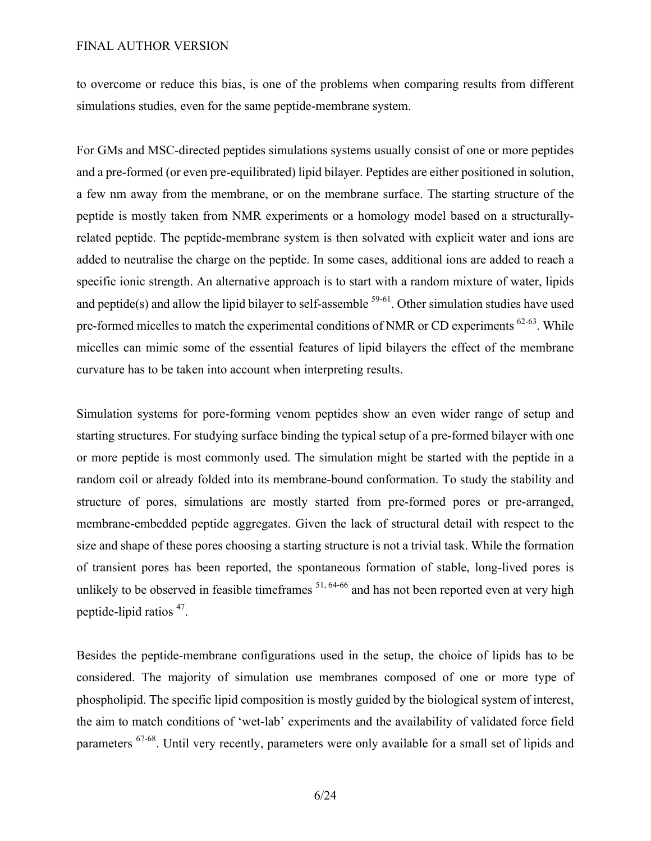to overcome or reduce this bias, is one of the problems when comparing results from different simulations studies, even for the same peptide-membrane system.

For GMs and MSC-directed peptides simulations systems usually consist of one or more peptides and a pre-formed (or even pre-equilibrated) lipid bilayer. Peptides are either positioned in solution, a few nm away from the membrane, or on the membrane surface. The starting structure of the peptide is mostly taken from NMR experiments or a homology model based on a structurallyrelated peptide. The peptide-membrane system is then solvated with explicit water and ions are added to neutralise the charge on the peptide. In some cases, additional ions are added to reach a specific ionic strength. An alternative approach is to start with a random mixture of water, lipids and peptide(s) and allow the lipid bilayer to self-assemble  $59-61$ . Other simulation studies have used pre-formed micelles to match the experimental conditions of NMR or CD experiments  $62-63$ . While micelles can mimic some of the essential features of lipid bilayers the effect of the membrane curvature has to be taken into account when interpreting results.

Simulation systems for pore-forming venom peptides show an even wider range of setup and starting structures. For studying surface binding the typical setup of a pre-formed bilayer with one or more peptide is most commonly used. The simulation might be started with the peptide in a random coil or already folded into its membrane-bound conformation. To study the stability and structure of pores, simulations are mostly started from pre-formed pores or pre-arranged, membrane-embedded peptide aggregates. Given the lack of structural detail with respect to the size and shape of these pores choosing a starting structure is not a trivial task. While the formation of transient pores has been reported, the spontaneous formation of stable, long-lived pores is unlikely to be observed in feasible timeframes  $51, 64-66$  and has not been reported even at very high peptide-lipid ratios 47.

Besides the peptide-membrane configurations used in the setup, the choice of lipids has to be considered. The majority of simulation use membranes composed of one or more type of phospholipid. The specific lipid composition is mostly guided by the biological system of interest, the aim to match conditions of 'wet-lab' experiments and the availability of validated force field parameters <sup>67-68</sup>. Until very recently, parameters were only available for a small set of lipids and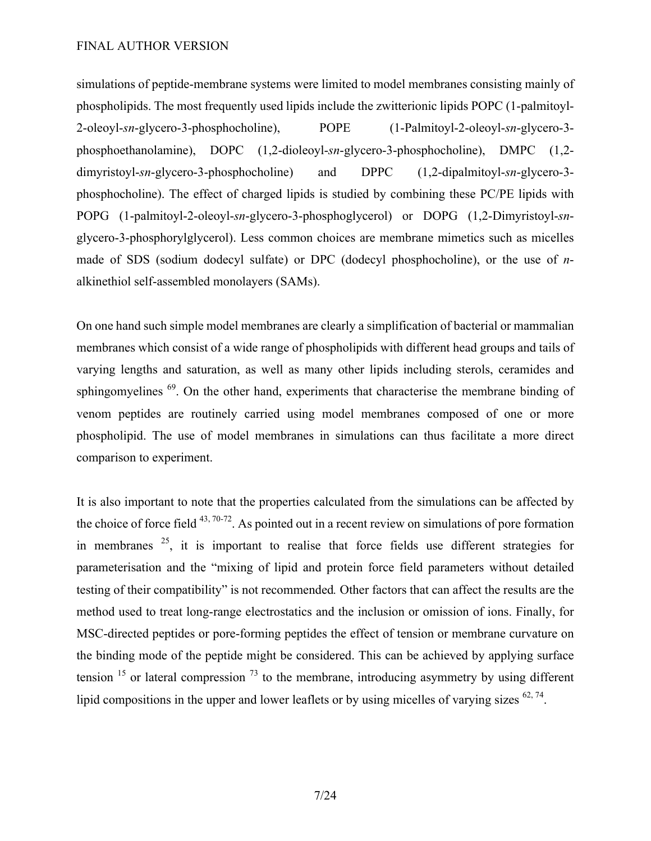simulations of peptide-membrane systems were limited to model membranes consisting mainly of phospholipids. The most frequently used lipids include the zwitterionic lipids POPC (1-palmitoyl-2-oleoyl-*sn*-glycero-3-phosphocholine), POPE (1-Palmitoyl-2-oleoyl-*sn*-glycero-3 phosphoethanolamine), DOPC (1,2-dioleoyl-*sn*-glycero-3-phosphocholine), DMPC (1,2 dimyristoyl-*sn*-glycero-3-phosphocholine) and DPPC (1,2-dipalmitoyl-*sn*-glycero-3 phosphocholine). The effect of charged lipids is studied by combining these PC/PE lipids with POPG (1-palmitoyl-2-oleoyl-*sn*-glycero-3-phosphoglycerol) or DOPG (1,2-Dimyristoyl-*sn*glycero-3-phosphorylglycerol). Less common choices are membrane mimetics such as micelles made of SDS (sodium dodecyl sulfate) or DPC (dodecyl phosphocholine), or the use of *n*alkinethiol self-assembled monolayers (SAMs).

On one hand such simple model membranes are clearly a simplification of bacterial or mammalian membranes which consist of a wide range of phospholipids with different head groups and tails of varying lengths and saturation, as well as many other lipids including sterols, ceramides and sphingomyelines <sup>69</sup>. On the other hand, experiments that characterise the membrane binding of venom peptides are routinely carried using model membranes composed of one or more phospholipid. The use of model membranes in simulations can thus facilitate a more direct comparison to experiment.

It is also important to note that the properties calculated from the simulations can be affected by the choice of force field  $43,70-72$ . As pointed out in a recent review on simulations of pore formation in membranes  $25$ , it is important to realise that force fields use different strategies for parameterisation and the "mixing of lipid and protein force field parameters without detailed testing of their compatibility" is not recommended*.* Other factors that can affect the results are the method used to treat long-range electrostatics and the inclusion or omission of ions. Finally, for MSC-directed peptides or pore-forming peptides the effect of tension or membrane curvature on the binding mode of the peptide might be considered. This can be achieved by applying surface tension  $15$  or lateral compression  $73$  to the membrane, introducing asymmetry by using different lipid compositions in the upper and lower leaflets or by using micelles of varying sizes  $62, 74$ .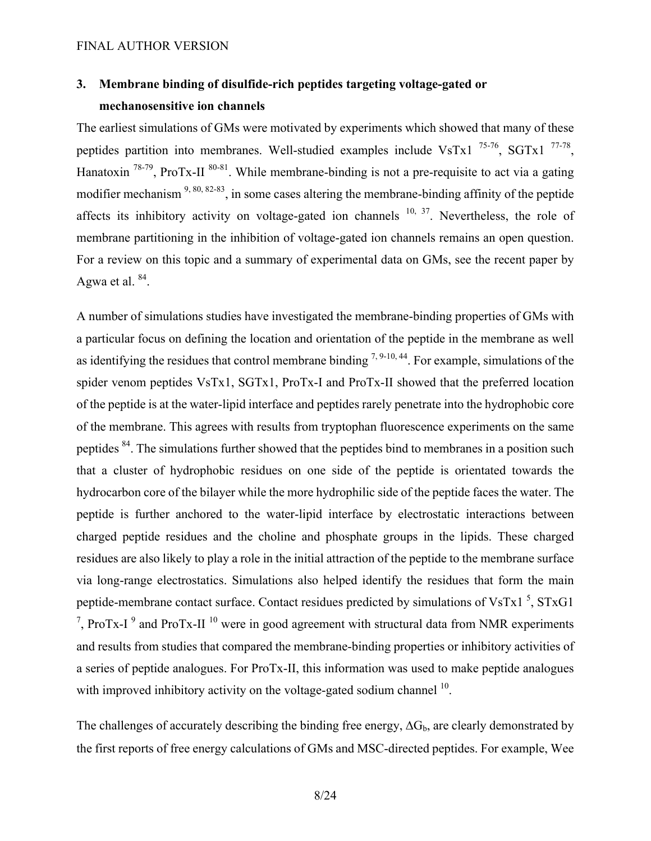# **3. Membrane binding of disulfide-rich peptides targeting voltage-gated or mechanosensitive ion channels**

The earliest simulations of GMs were motivated by experiments which showed that many of these peptides partition into membranes. Well-studied examples include VsTx1  $^{75-76}$ , SGTx1  $^{77-78}$ , Hanatoxin  $^{78-79}$ , ProTx-II  $^{80-81}$ . While membrane-binding is not a pre-requisite to act via a gating modifier mechanism  $9, 80, 82-83$ , in some cases altering the membrane-binding affinity of the peptide affects its inhibitory activity on voltage-gated ion channels  $10, 37$ . Nevertheless, the role of membrane partitioning in the inhibition of voltage-gated ion channels remains an open question. For a review on this topic and a summary of experimental data on GMs, see the recent paper by Agwa et al.  $84$ .

A number of simulations studies have investigated the membrane-binding properties of GMs with a particular focus on defining the location and orientation of the peptide in the membrane as well as identifying the residues that control membrane binding  $^{7, 9 \cdot 10, 44}$ . For example, simulations of the spider venom peptides VsTx1, SGTx1, ProTx-I and ProTx-II showed that the preferred location of the peptide is at the water-lipid interface and peptides rarely penetrate into the hydrophobic core of the membrane. This agrees with results from tryptophan fluorescence experiments on the same peptides <sup>84</sup>. The simulations further showed that the peptides bind to membranes in a position such that a cluster of hydrophobic residues on one side of the peptide is orientated towards the hydrocarbon core of the bilayer while the more hydrophilic side of the peptide faces the water. The peptide is further anchored to the water-lipid interface by electrostatic interactions between charged peptide residues and the choline and phosphate groups in the lipids. These charged residues are also likely to play a role in the initial attraction of the peptide to the membrane surface via long-range electrostatics. Simulations also helped identify the residues that form the main peptide-membrane contact surface. Contact residues predicted by simulations of VsTx1 $<sup>5</sup>$ , STxG1</sup> <sup>7</sup>, ProTx-I<sup>9</sup> and ProTx-II<sup>10</sup> were in good agreement with structural data from NMR experiments and results from studies that compared the membrane-binding properties or inhibitory activities of a series of peptide analogues. For ProTx-II, this information was used to make peptide analogues with improved inhibitory activity on the voltage-gated sodium channel <sup>10</sup>.

The challenges of accurately describing the binding free energy,  $\Delta G_b$ , are clearly demonstrated by the first reports of free energy calculations of GMs and MSC-directed peptides. For example, Wee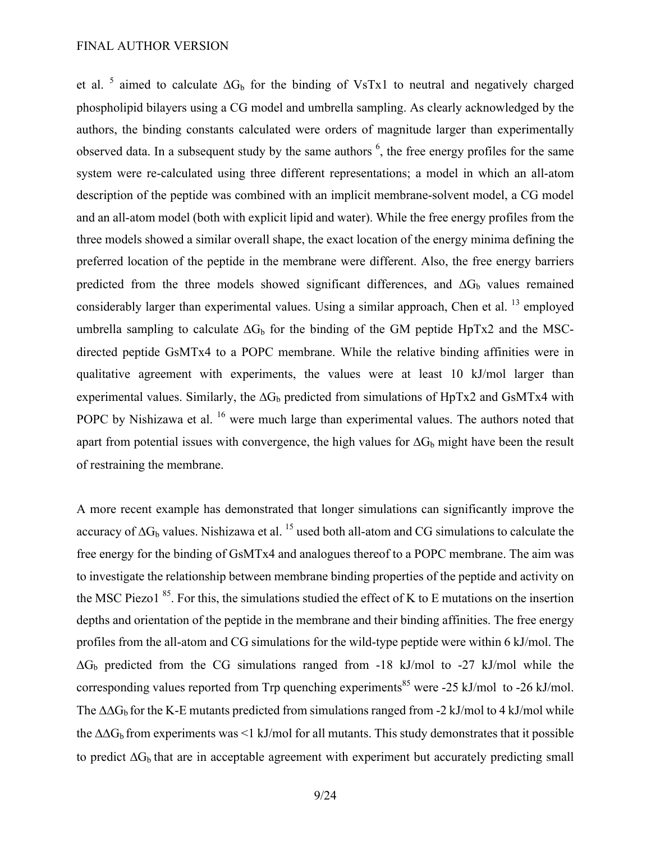et al. <sup>5</sup> aimed to calculate  $\Delta G_b$  for the binding of VsTx1 to neutral and negatively charged phospholipid bilayers using a CG model and umbrella sampling. As clearly acknowledged by the authors, the binding constants calculated were orders of magnitude larger than experimentally observed data. In a subsequent study by the same authors  $<sup>6</sup>$ , the free energy profiles for the same</sup> system were re-calculated using three different representations; a model in which an all-atom description of the peptide was combined with an implicit membrane-solvent model, a CG model and an all-atom model (both with explicit lipid and water). While the free energy profiles from the three models showed a similar overall shape, the exact location of the energy minima defining the preferred location of the peptide in the membrane were different. Also, the free energy barriers predicted from the three models showed significant differences, and  $\Delta G_b$  values remained considerably larger than experimental values. Using a similar approach, Chen et al.  $^{13}$  employed umbrella sampling to calculate  $\Delta G_b$  for the binding of the GM peptide HpTx2 and the MSCdirected peptide GsMTx4 to a POPC membrane. While the relative binding affinities were in qualitative agreement with experiments, the values were at least 10 kJ/mol larger than experimental values. Similarly, the  $\Delta G_b$  predicted from simulations of HpTx2 and GsMTx4 with POPC by Nishizawa et al. <sup>16</sup> were much large than experimental values. The authors noted that apart from potential issues with convergence, the high values for  $\Delta G_b$  might have been the result of restraining the membrane.

A more recent example has demonstrated that longer simulations can significantly improve the accuracy of  $\Delta G_b$  values. Nishizawa et al. <sup>15</sup> used both all-atom and CG simulations to calculate the free energy for the binding of GsMTx4 and analogues thereof to a POPC membrane. The aim was to investigate the relationship between membrane binding properties of the peptide and activity on the MSC Piezo1  $85$ . For this, the simulations studied the effect of K to E mutations on the insertion depths and orientation of the peptide in the membrane and their binding affinities. The free energy profiles from the all-atom and CG simulations for the wild-type peptide were within 6 kJ/mol. The  $\Delta G_b$  predicted from the CG simulations ranged from -18 kJ/mol to -27 kJ/mol while the corresponding values reported from Trp quenching experiments<sup>85</sup> were -25 kJ/mol to -26 kJ/mol. The  $\Delta\Delta G_b$  for the K-E mutants predicted from simulations ranged from -2 kJ/mol to 4 kJ/mol while the  $\Delta\Delta G_b$  from experiments was <1 kJ/mol for all mutants. This study demonstrates that it possible to predict  $\Delta G_b$  that are in acceptable agreement with experiment but accurately predicting small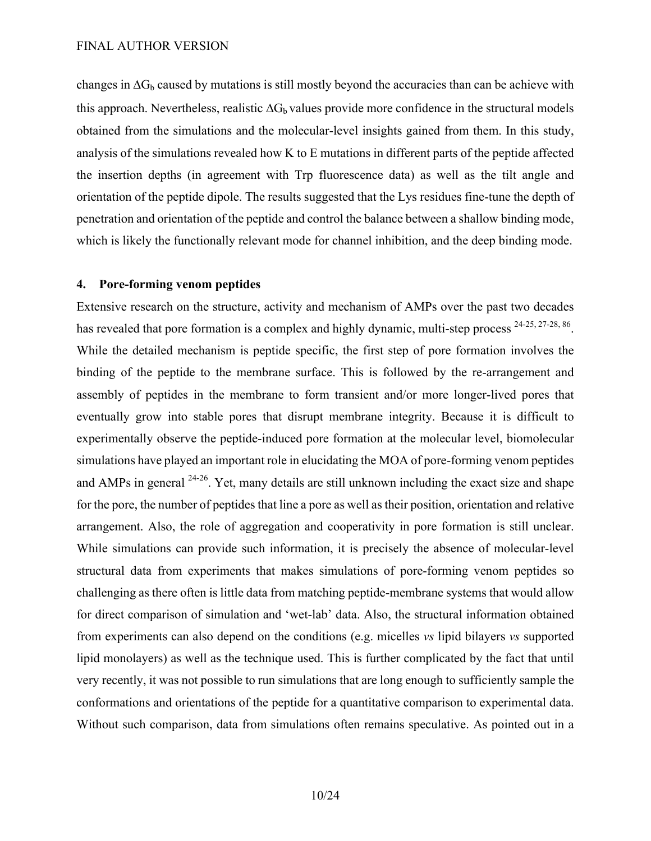changes in  $\Delta G_b$  caused by mutations is still mostly beyond the accuracies than can be achieve with this approach. Nevertheless, realistic  $\Delta G_b$  values provide more confidence in the structural models obtained from the simulations and the molecular-level insights gained from them. In this study, analysis of the simulations revealed how K to E mutations in different parts of the peptide affected the insertion depths (in agreement with Trp fluorescence data) as well as the tilt angle and orientation of the peptide dipole. The results suggested that the Lys residues fine-tune the depth of penetration and orientation of the peptide and control the balance between a shallow binding mode, which is likely the functionally relevant mode for channel inhibition, and the deep binding mode.

# **4. Pore-forming venom peptides**

Extensive research on the structure, activity and mechanism of AMPs over the past two decades has revealed that pore formation is a complex and highly dynamic, multi-step process <sup>24-25, 27-28, 86</sup>. While the detailed mechanism is peptide specific, the first step of pore formation involves the binding of the peptide to the membrane surface. This is followed by the re-arrangement and assembly of peptides in the membrane to form transient and/or more longer-lived pores that eventually grow into stable pores that disrupt membrane integrity. Because it is difficult to experimentally observe the peptide-induced pore formation at the molecular level, biomolecular simulations have played an important role in elucidating the MOA of pore-forming venom peptides and AMPs in general 24-26. Yet, many details are still unknown including the exact size and shape for the pore, the number of peptides that line a pore as well as their position, orientation and relative arrangement. Also, the role of aggregation and cooperativity in pore formation is still unclear. While simulations can provide such information, it is precisely the absence of molecular-level structural data from experiments that makes simulations of pore-forming venom peptides so challenging as there often is little data from matching peptide-membrane systems that would allow for direct comparison of simulation and 'wet-lab' data. Also, the structural information obtained from experiments can also depend on the conditions (e.g. micelles *vs* lipid bilayers *vs* supported lipid monolayers) as well as the technique used. This is further complicated by the fact that until very recently, it was not possible to run simulations that are long enough to sufficiently sample the conformations and orientations of the peptide for a quantitative comparison to experimental data. Without such comparison, data from simulations often remains speculative. As pointed out in a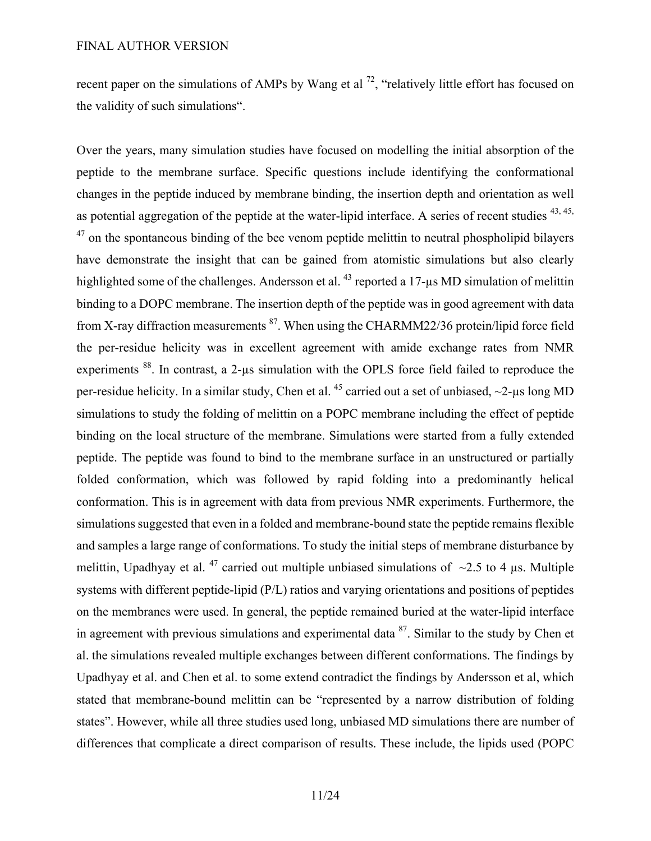recent paper on the simulations of AMPs by Wang et al  $^{72}$ , "relatively little effort has focused on the validity of such simulations".

Over the years, many simulation studies have focused on modelling the initial absorption of the peptide to the membrane surface. Specific questions include identifying the conformational changes in the peptide induced by membrane binding, the insertion depth and orientation as well as potential aggregation of the peptide at the water-lipid interface. A series of recent studies <sup>43, 45,</sup>  $47$  on the spontaneous binding of the bee venom peptide melittin to neutral phospholipid bilayers have demonstrate the insight that can be gained from atomistic simulations but also clearly highlighted some of the challenges. Andersson et al.  $^{43}$  reported a 17- $\mu$ s MD simulation of melittin binding to a DOPC membrane. The insertion depth of the peptide was in good agreement with data from X-ray diffraction measurements <sup>87</sup>. When using the CHARMM22/36 protein/lipid force field the per-residue helicity was in excellent agreement with amide exchange rates from NMR experiments <sup>88</sup>. In contrast, a 2-us simulation with the OPLS force field failed to reproduce the per-residue helicity. In a similar study, Chen et al. <sup>45</sup> carried out a set of unbiased,  $\sim$ 2-µs long MD simulations to study the folding of melittin on a POPC membrane including the effect of peptide binding on the local structure of the membrane. Simulations were started from a fully extended peptide. The peptide was found to bind to the membrane surface in an unstructured or partially folded conformation, which was followed by rapid folding into a predominantly helical conformation. This is in agreement with data from previous NMR experiments. Furthermore, the simulations suggested that even in a folded and membrane-bound state the peptide remains flexible and samples a large range of conformations. To study the initial steps of membrane disturbance by melittin, Upadhyay et al. <sup>47</sup> carried out multiple unbiased simulations of  $\sim$ 2.5 to 4 µs. Multiple systems with different peptide-lipid (P/L) ratios and varying orientations and positions of peptides on the membranes were used. In general, the peptide remained buried at the water-lipid interface in agreement with previous simulations and experimental data  $87$ . Similar to the study by Chen et al. the simulations revealed multiple exchanges between different conformations. The findings by Upadhyay et al. and Chen et al. to some extend contradict the findings by Andersson et al, which stated that membrane-bound melittin can be "represented by a narrow distribution of folding states". However, while all three studies used long, unbiased MD simulations there are number of differences that complicate a direct comparison of results. These include, the lipids used (POPC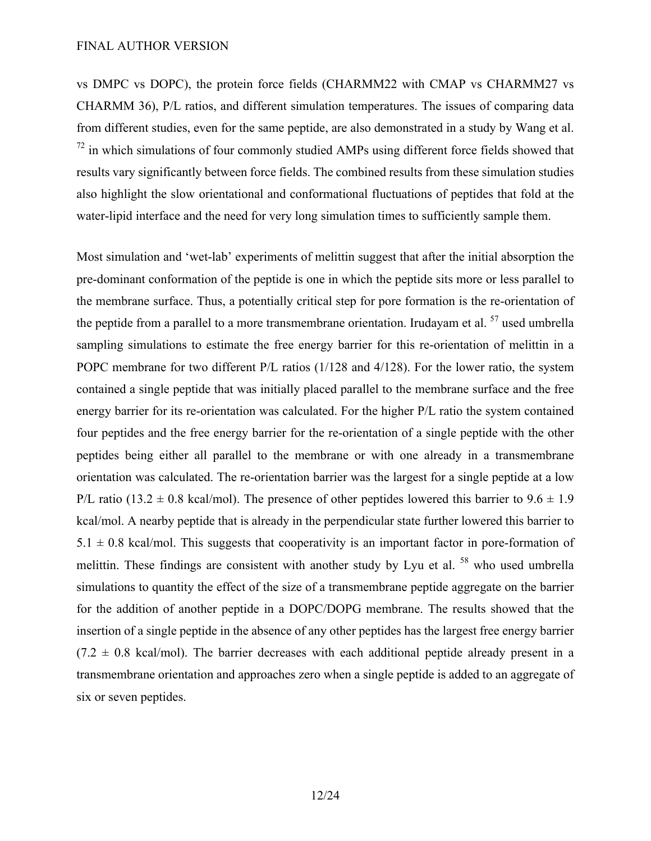vs DMPC vs DOPC), the protein force fields (CHARMM22 with CMAP vs CHARMM27 vs CHARMM 36), P/L ratios, and different simulation temperatures. The issues of comparing data from different studies, even for the same peptide, are also demonstrated in a study by Wang et al.  $<sup>72</sup>$  in which simulations of four commonly studied AMPs using different force fields showed that</sup> results vary significantly between force fields. The combined results from these simulation studies also highlight the slow orientational and conformational fluctuations of peptides that fold at the water-lipid interface and the need for very long simulation times to sufficiently sample them.

Most simulation and 'wet-lab' experiments of melittin suggest that after the initial absorption the pre-dominant conformation of the peptide is one in which the peptide sits more or less parallel to the membrane surface. Thus, a potentially critical step for pore formation is the re-orientation of the peptide from a parallel to a more transmembrane orientation. Irudayam et al.  $57$  used umbrella sampling simulations to estimate the free energy barrier for this re-orientation of melittin in a POPC membrane for two different P/L ratios (1/128 and 4/128). For the lower ratio, the system contained a single peptide that was initially placed parallel to the membrane surface and the free energy barrier for its re-orientation was calculated. For the higher P/L ratio the system contained four peptides and the free energy barrier for the re-orientation of a single peptide with the other peptides being either all parallel to the membrane or with one already in a transmembrane orientation was calculated. The re-orientation barrier was the largest for a single peptide at a low P/L ratio (13.2  $\pm$  0.8 kcal/mol). The presence of other peptides lowered this barrier to 9.6  $\pm$  1.9 kcal/mol. A nearby peptide that is already in the perpendicular state further lowered this barrier to  $5.1 \pm 0.8$  kcal/mol. This suggests that cooperativity is an important factor in pore-formation of melittin. These findings are consistent with another study by Lyu et al. <sup>58</sup> who used umbrella simulations to quantity the effect of the size of a transmembrane peptide aggregate on the barrier for the addition of another peptide in a DOPC/DOPG membrane. The results showed that the insertion of a single peptide in the absence of any other peptides has the largest free energy barrier  $(7.2 \pm 0.8 \text{ kcal/mol})$ . The barrier decreases with each additional peptide already present in a transmembrane orientation and approaches zero when a single peptide is added to an aggregate of six or seven peptides.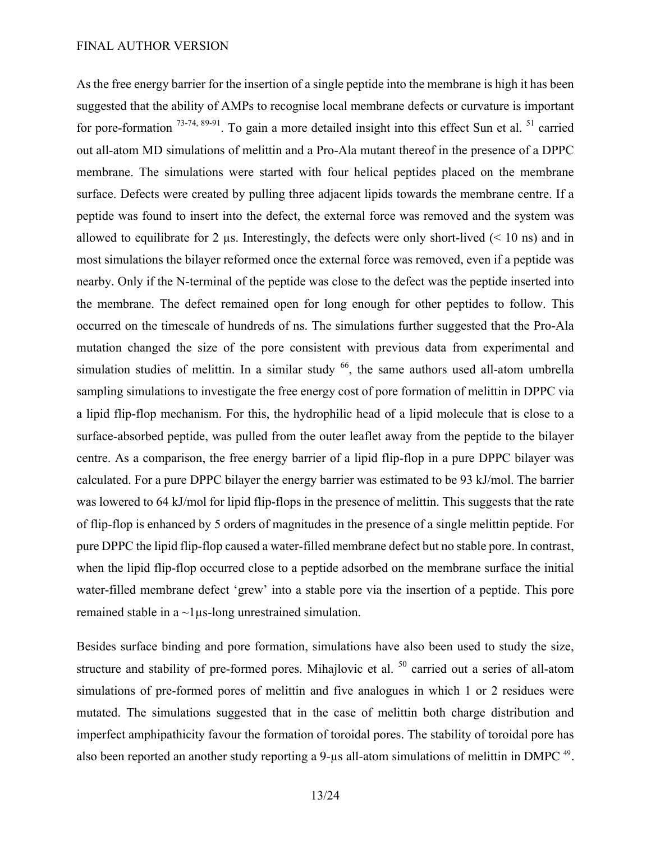As the free energy barrier for the insertion of a single peptide into the membrane is high it has been suggested that the ability of AMPs to recognise local membrane defects or curvature is important for pore-formation  $73-74, 89-91$ . To gain a more detailed insight into this effect Sun et al.  $51$  carried out all-atom MD simulations of melittin and a Pro-Ala mutant thereof in the presence of a DPPC membrane. The simulations were started with four helical peptides placed on the membrane surface. Defects were created by pulling three adjacent lipids towards the membrane centre. If a peptide was found to insert into the defect, the external force was removed and the system was allowed to equilibrate for 2  $\mu$ s. Interestingly, the defects were only short-lived (< 10 ns) and in most simulations the bilayer reformed once the external force was removed, even if a peptide was nearby. Only if the N-terminal of the peptide was close to the defect was the peptide inserted into the membrane. The defect remained open for long enough for other peptides to follow. This occurred on the timescale of hundreds of ns. The simulations further suggested that the Pro-Ala mutation changed the size of the pore consistent with previous data from experimental and simulation studies of melittin. In a similar study  $^{66}$ , the same authors used all-atom umbrella sampling simulations to investigate the free energy cost of pore formation of melittin in DPPC via a lipid flip-flop mechanism. For this, the hydrophilic head of a lipid molecule that is close to a surface-absorbed peptide, was pulled from the outer leaflet away from the peptide to the bilayer centre. As a comparison, the free energy barrier of a lipid flip-flop in a pure DPPC bilayer was calculated. For a pure DPPC bilayer the energy barrier was estimated to be 93 kJ/mol. The barrier was lowered to 64 kJ/mol for lipid flip-flops in the presence of melittin. This suggests that the rate of flip-flop is enhanced by 5 orders of magnitudes in the presence of a single melittin peptide. For pure DPPC the lipid flip-flop caused a water-filled membrane defect but no stable pore. In contrast, when the lipid flip-flop occurred close to a peptide adsorbed on the membrane surface the initial water-filled membrane defect 'grew' into a stable pore via the insertion of a peptide. This pore remained stable in a ~1µs-long unrestrained simulation.

Besides surface binding and pore formation, simulations have also been used to study the size, structure and stability of pre-formed pores. Mihajlovic et al. <sup>50</sup> carried out a series of all-atom simulations of pre-formed pores of melittin and five analogues in which 1 or 2 residues were mutated. The simulations suggested that in the case of melittin both charge distribution and imperfect amphipathicity favour the formation of toroidal pores. The stability of toroidal pore has also been reported an another study reporting a 9-us all-atom simulations of melittin in DMPC <sup>49</sup>.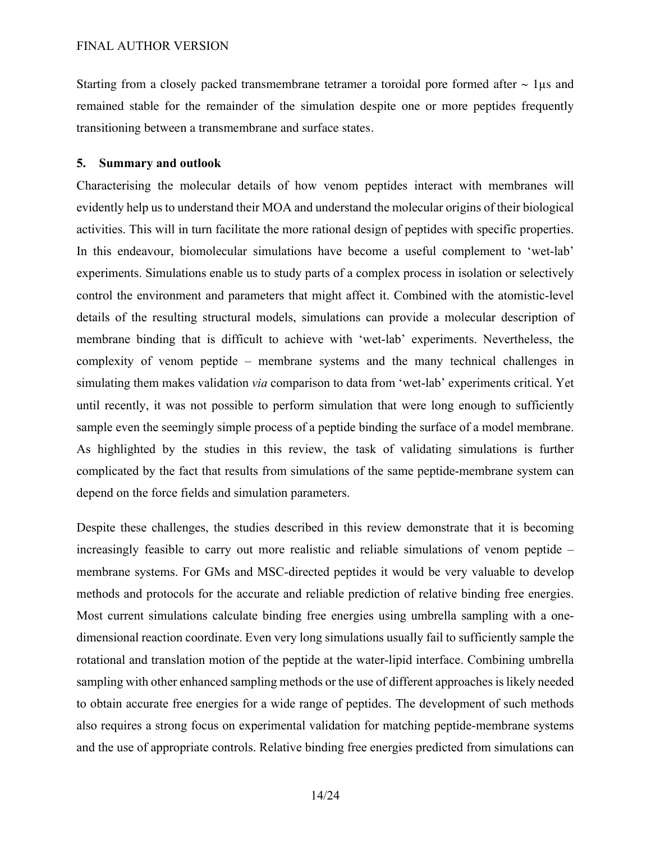Starting from a closely packed transmembrane tetramer a toroidal pore formed after  $\sim 1\mu s$  and remained stable for the remainder of the simulation despite one or more peptides frequently transitioning between a transmembrane and surface states.

# **5. Summary and outlook**

Characterising the molecular details of how venom peptides interact with membranes will evidently help us to understand their MOA and understand the molecular origins of their biological activities. This will in turn facilitate the more rational design of peptides with specific properties. In this endeavour, biomolecular simulations have become a useful complement to 'wet-lab' experiments. Simulations enable us to study parts of a complex process in isolation or selectively control the environment and parameters that might affect it. Combined with the atomistic-level details of the resulting structural models, simulations can provide a molecular description of membrane binding that is difficult to achieve with 'wet-lab' experiments. Nevertheless, the complexity of venom peptide – membrane systems and the many technical challenges in simulating them makes validation *via* comparison to data from 'wet-lab' experiments critical. Yet until recently, it was not possible to perform simulation that were long enough to sufficiently sample even the seemingly simple process of a peptide binding the surface of a model membrane. As highlighted by the studies in this review, the task of validating simulations is further complicated by the fact that results from simulations of the same peptide-membrane system can depend on the force fields and simulation parameters.

Despite these challenges, the studies described in this review demonstrate that it is becoming increasingly feasible to carry out more realistic and reliable simulations of venom peptide – membrane systems. For GMs and MSC-directed peptides it would be very valuable to develop methods and protocols for the accurate and reliable prediction of relative binding free energies. Most current simulations calculate binding free energies using umbrella sampling with a onedimensional reaction coordinate. Even very long simulations usually fail to sufficiently sample the rotational and translation motion of the peptide at the water-lipid interface. Combining umbrella sampling with other enhanced sampling methods or the use of different approaches is likely needed to obtain accurate free energies for a wide range of peptides. The development of such methods also requires a strong focus on experimental validation for matching peptide-membrane systems and the use of appropriate controls. Relative binding free energies predicted from simulations can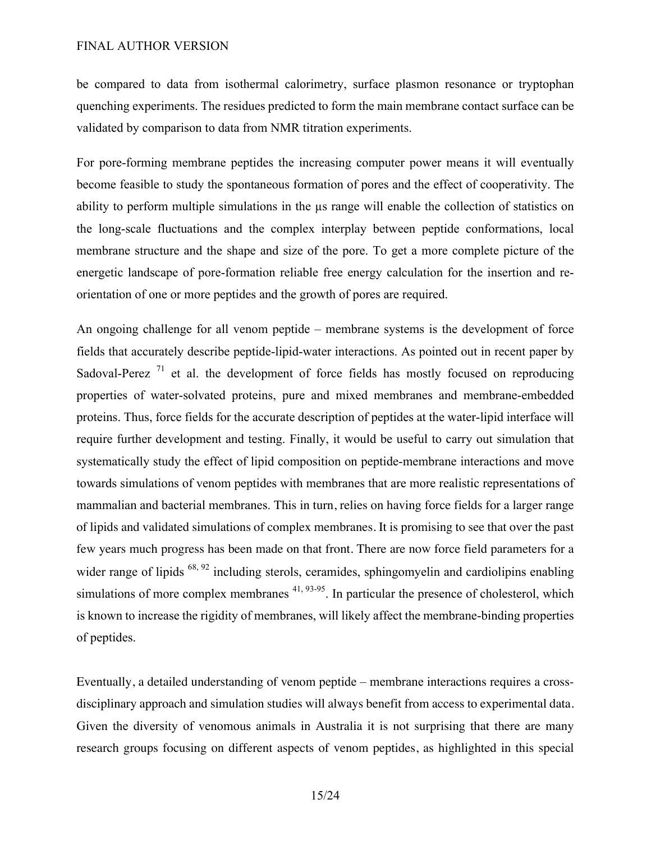be compared to data from isothermal calorimetry, surface plasmon resonance or tryptophan quenching experiments. The residues predicted to form the main membrane contact surface can be validated by comparison to data from NMR titration experiments.

For pore-forming membrane peptides the increasing computer power means it will eventually become feasible to study the spontaneous formation of pores and the effect of cooperativity. The ability to perform multiple simulations in the µs range will enable the collection of statistics on the long-scale fluctuations and the complex interplay between peptide conformations, local membrane structure and the shape and size of the pore. To get a more complete picture of the energetic landscape of pore-formation reliable free energy calculation for the insertion and reorientation of one or more peptides and the growth of pores are required.

An ongoing challenge for all venom peptide – membrane systems is the development of force fields that accurately describe peptide-lipid-water interactions. As pointed out in recent paper by Sadoval-Perez  $\frac{71}{1}$  et al. the development of force fields has mostly focused on reproducing properties of water-solvated proteins, pure and mixed membranes and membrane-embedded proteins. Thus, force fields for the accurate description of peptides at the water-lipid interface will require further development and testing. Finally, it would be useful to carry out simulation that systematically study the effect of lipid composition on peptide-membrane interactions and move towards simulations of venom peptides with membranes that are more realistic representations of mammalian and bacterial membranes. This in turn, relies on having force fields for a larger range of lipids and validated simulations of complex membranes. It is promising to see that over the past few years much progress has been made on that front. There are now force field parameters for a wider range of lipids <sup>68, 92</sup> including sterols, ceramides, sphingomyelin and cardiolipins enabling simulations of more complex membranes  $41, 93.95$ . In particular the presence of cholesterol, which is known to increase the rigidity of membranes, will likely affect the membrane-binding properties of peptides.

Eventually, a detailed understanding of venom peptide – membrane interactions requires a crossdisciplinary approach and simulation studies will always benefit from access to experimental data. Given the diversity of venomous animals in Australia it is not surprising that there are many research groups focusing on different aspects of venom peptides, as highlighted in this special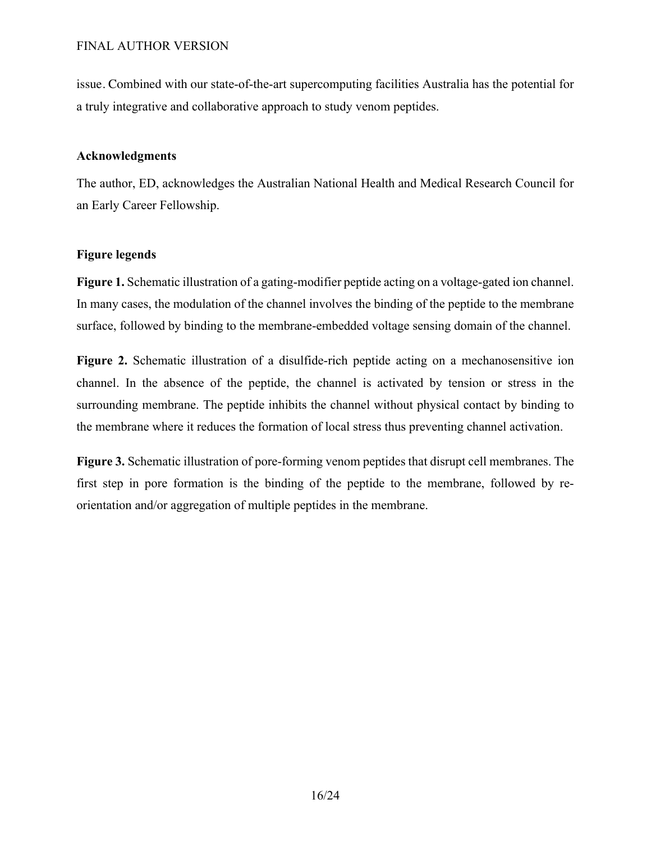issue. Combined with our state-of-the-art supercomputing facilities Australia has the potential for a truly integrative and collaborative approach to study venom peptides.

# **Acknowledgments**

The author, ED, acknowledges the Australian National Health and Medical Research Council for an Early Career Fellowship.

# **Figure legends**

**Figure 1.** Schematic illustration of a gating-modifier peptide acting on a voltage-gated ion channel. In many cases, the modulation of the channel involves the binding of the peptide to the membrane surface, followed by binding to the membrane-embedded voltage sensing domain of the channel.

**Figure 2.** Schematic illustration of a disulfide-rich peptide acting on a mechanosensitive ion channel. In the absence of the peptide, the channel is activated by tension or stress in the surrounding membrane. The peptide inhibits the channel without physical contact by binding to the membrane where it reduces the formation of local stress thus preventing channel activation.

**Figure 3.** Schematic illustration of pore-forming venom peptides that disrupt cell membranes. The first step in pore formation is the binding of the peptide to the membrane, followed by reorientation and/or aggregation of multiple peptides in the membrane.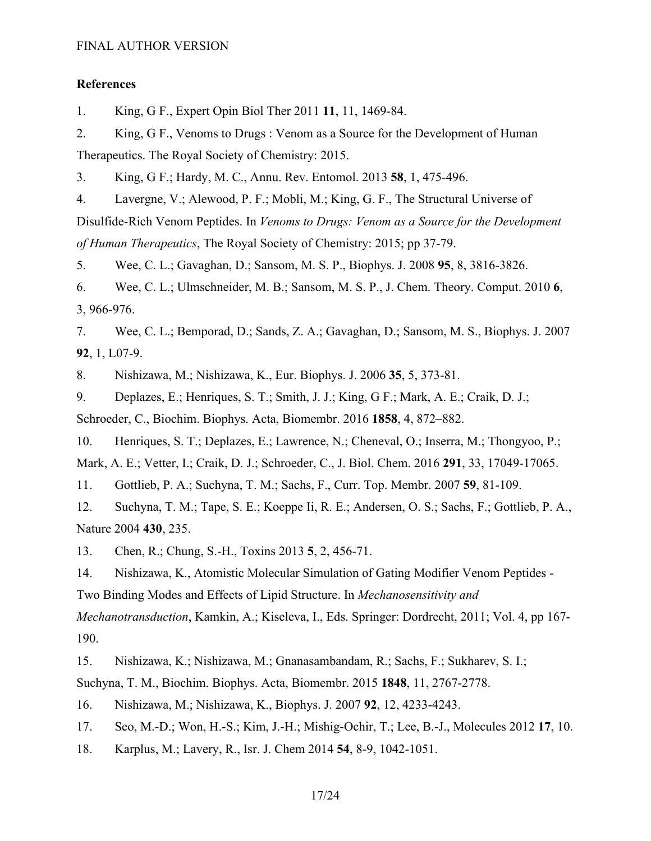# **References**

1. King, G F., Expert Opin Biol Ther 2011 **11**, 11, 1469-84.

2. King, G F., Venoms to Drugs : Venom as a Source for the Development of Human Therapeutics. The Royal Society of Chemistry: 2015.

3. King, G F.; Hardy, M. C., Annu. Rev. Entomol. 2013 **58**, 1, 475-496.

4. Lavergne, V.; Alewood, P. F.; Mobli, M.; King, G. F., The Structural Universe of

Disulfide-Rich Venom Peptides. In *Venoms to Drugs: Venom as a Source for the Development of Human Therapeutics*, The Royal Society of Chemistry: 2015; pp 37-79.

5. Wee, C. L.; Gavaghan, D.; Sansom, M. S. P., Biophys. J. 2008 **95**, 8, 3816-3826.

6. Wee, C. L.; Ulmschneider, M. B.; Sansom, M. S. P., J. Chem. Theory. Comput. 2010 **6**, 3, 966-976.

7. Wee, C. L.; Bemporad, D.; Sands, Z. A.; Gavaghan, D.; Sansom, M. S., Biophys. J. 2007 **92**, 1, L07-9.

8. Nishizawa, M.; Nishizawa, K., Eur. Biophys. J. 2006 **35**, 5, 373-81.

9. Deplazes, E.; Henriques, S. T.; Smith, J. J.; King, G F.; Mark, A. E.; Craik, D. J.; Schroeder, C., Biochim. Biophys. Acta, Biomembr. 2016 **1858**, 4, 872–882.

10. Henriques, S. T.; Deplazes, E.; Lawrence, N.; Cheneval, O.; Inserra, M.; Thongyoo, P.;

Mark, A. E.; Vetter, I.; Craik, D. J.; Schroeder, C., J. Biol. Chem. 2016 **291**, 33, 17049-17065.

11. Gottlieb, P. A.; Suchyna, T. M.; Sachs, F., Curr. Top. Membr. 2007 **59**, 81-109.

12. Suchyna, T. M.; Tape, S. E.; Koeppe Ii, R. E.; Andersen, O. S.; Sachs, F.; Gottlieb, P. A., Nature 2004 **430**, 235.

13. Chen, R.; Chung, S.-H., Toxins 2013 **5**, 2, 456-71.

14. Nishizawa, K., Atomistic Molecular Simulation of Gating Modifier Venom Peptides - Two Binding Modes and Effects of Lipid Structure. In *Mechanosensitivity and* 

*Mechanotransduction*, Kamkin, A.; Kiseleva, I., Eds. Springer: Dordrecht, 2011; Vol. 4, pp 167- 190.

15. Nishizawa, K.; Nishizawa, M.; Gnanasambandam, R.; Sachs, F.; Sukharev, S. I.;

Suchyna, T. M., Biochim. Biophys. Acta, Biomembr. 2015 **1848**, 11, 2767-2778.

16. Nishizawa, M.; Nishizawa, K., Biophys. J. 2007 **92**, 12, 4233-4243.

17. Seo, M.-D.; Won, H.-S.; Kim, J.-H.; Mishig-Ochir, T.; Lee, B.-J., Molecules 2012 **17**, 10.

18. Karplus, M.; Lavery, R., Isr. J. Chem 2014 **54**, 8-9, 1042-1051.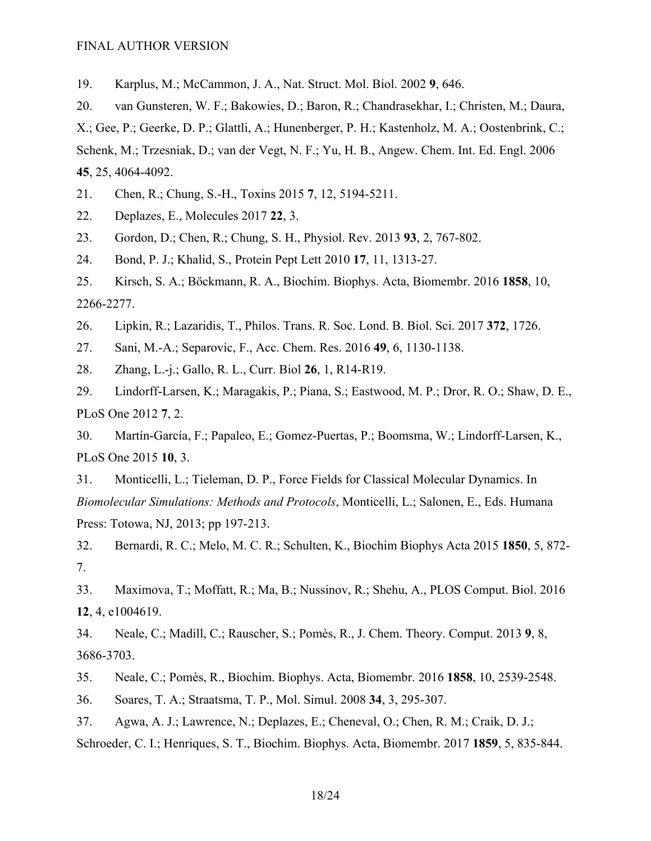19. Karplus, M.; McCammon, J. A., Nat. Struct. Mol. Biol. 2002 **9**, 646.

20. van Gunsteren, W. F.; Bakowies, D.; Baron, R.; Chandrasekhar, I.; Christen, M.; Daura, X.; Gee, P.; Geerke, D. P.; Glattli, A.; Hunenberger, P. H.; Kastenholz, M. A.; Oostenbrink, C.; Schenk, M.; Trzesniak, D.; van der Vegt, N. F.; Yu, H. B., Angew. Chem. Int. Ed. Engl. 2006 **45**, 25, 4064-4092.

- 21. Chen, R.; Chung, S.-H., Toxins 2015 **7**, 12, 5194-5211.
- 22. Deplazes, E., Molecules 2017 **22**, 3.
- 23. Gordon, D.; Chen, R.; Chung, S. H., Physiol. Rev. 2013 **93**, 2, 767-802.
- 24. Bond, P. J.; Khalid, S., Protein Pept Lett 2010 **17**, 11, 1313-27.
- 25. Kirsch, S. A.; Böckmann, R. A., Biochim. Biophys. Acta, Biomembr. 2016 **1858**, 10, 2266-2277.
- 26. Lipkin, R.; Lazaridis, T., Philos. Trans. R. Soc. Lond. B. Biol. Sci. 2017 **372**, 1726.
- 27. Sani, M.-A.; Separovic, F., Acc. Chem. Res. 2016 **49**, 6, 1130-1138.
- 28. Zhang, L.-j.; Gallo, R. L., Curr. Biol **26**, 1, R14-R19.
- 29. Lindorff-Larsen, K.; Maragakis, P.; Piana, S.; Eastwood, M. P.; Dror, R. O.; Shaw, D. E., PLoS One 2012 **7**, 2.
- 30. Martín-García, F.; Papaleo, E.; Gomez-Puertas, P.; Boomsma, W.; Lindorff-Larsen, K., PLoS One 2015 **10**, 3.
- 31. Monticelli, L.; Tieleman, D. P., Force Fields for Classical Molecular Dynamics. In *Biomolecular Simulations: Methods and Protocols*, Monticelli, L.; Salonen, E., Eds. Humana Press: Totowa, NJ, 2013; pp 197-213.
- 32. Bernardi, R. C.; Melo, M. C. R.; Schulten, K., Biochim Biophys Acta 2015 **1850**, 5, 872- 7.
- 33. Maximova, T.; Moffatt, R.; Ma, B.; Nussinov, R.; Shehu, A., PLOS Comput. Biol. 2016 **12**, 4, e1004619.
- 34. Neale, C.; Madill, C.; Rauscher, S.; Pomès, R., J. Chem. Theory. Comput. 2013 **9**, 8, 3686-3703.
- 35. Neale, C.; Pomès, R., Biochim. Biophys. Acta, Biomembr. 2016 **1858**, 10, 2539-2548.
- 36. Soares, T. A.; Straatsma, T. P., Mol. Simul. 2008 **34**, 3, 295-307.
- 37. Agwa, A. J.; Lawrence, N.; Deplazes, E.; Cheneval, O.; Chen, R. M.; Craik, D. J.;

Schroeder, C. I.; Henriques, S. T., Biochim. Biophys. Acta, Biomembr. 2017 **1859**, 5, 835-844.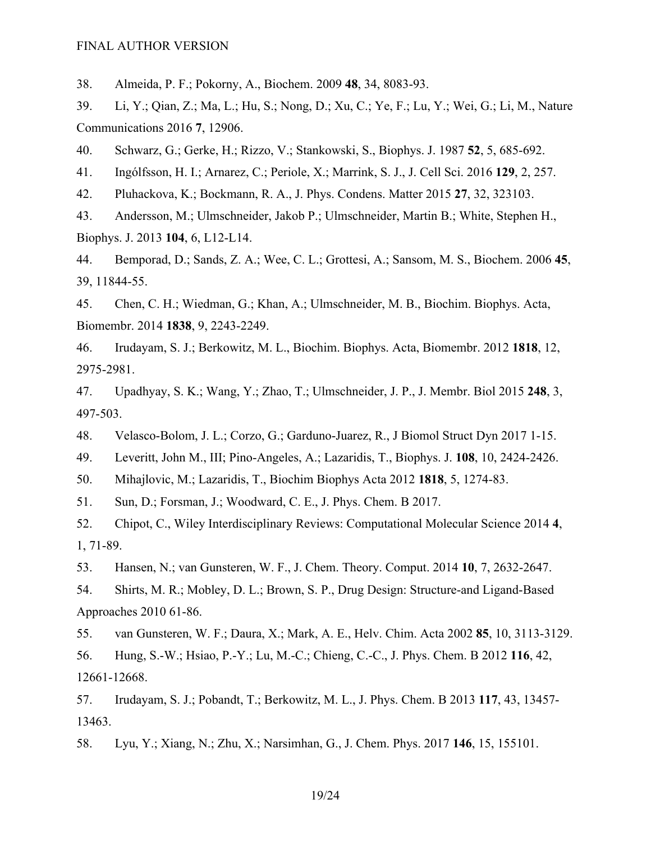38. Almeida, P. F.; Pokorny, A., Biochem. 2009 **48**, 34, 8083-93.

39. Li, Y.; Qian, Z.; Ma, L.; Hu, S.; Nong, D.; Xu, C.; Ye, F.; Lu, Y.; Wei, G.; Li, M., Nature Communications 2016 **7**, 12906.

40. Schwarz, G.; Gerke, H.; Rizzo, V.; Stankowski, S., Biophys. J. 1987 **52**, 5, 685-692.

41. Ingólfsson, H. I.; Arnarez, C.; Periole, X.; Marrink, S. J., J. Cell Sci. 2016 **129**, 2, 257.

42. Pluhackova, K.; Bockmann, R. A., J. Phys. Condens. Matter 2015 **27**, 32, 323103.

43. Andersson, M.; Ulmschneider, Jakob P.; Ulmschneider, Martin B.; White, Stephen H., Biophys. J. 2013 **104**, 6, L12-L14.

44. Bemporad, D.; Sands, Z. A.; Wee, C. L.; Grottesi, A.; Sansom, M. S., Biochem. 2006 **45**, 39, 11844-55.

45. Chen, C. H.; Wiedman, G.; Khan, A.; Ulmschneider, M. B., Biochim. Biophys. Acta, Biomembr. 2014 **1838**, 9, 2243-2249.

46. Irudayam, S. J.; Berkowitz, M. L., Biochim. Biophys. Acta, Biomembr. 2012 **1818**, 12, 2975-2981.

47. Upadhyay, S. K.; Wang, Y.; Zhao, T.; Ulmschneider, J. P., J. Membr. Biol 2015 **248**, 3, 497-503.

48. Velasco-Bolom, J. L.; Corzo, G.; Garduno-Juarez, R., J Biomol Struct Dyn 2017 1-15.

49. Leveritt, John M., III; Pino-Angeles, A.; Lazaridis, T., Biophys. J. **108**, 10, 2424-2426.

50. Mihajlovic, M.; Lazaridis, T., Biochim Biophys Acta 2012 **1818**, 5, 1274-83.

51. Sun, D.; Forsman, J.; Woodward, C. E., J. Phys. Chem. B 2017.

52. Chipot, C., Wiley Interdisciplinary Reviews: Computational Molecular Science 2014 **4**, 1, 71-89.

53. Hansen, N.; van Gunsteren, W. F., J. Chem. Theory. Comput. 2014 **10**, 7, 2632-2647.

54. Shirts, M. R.; Mobley, D. L.; Brown, S. P., Drug Design: Structure-and Ligand-Based Approaches 2010 61-86.

55. van Gunsteren, W. F.; Daura, X.; Mark, A. E., Helv. Chim. Acta 2002 **85**, 10, 3113-3129. 56. Hung, S.-W.; Hsiao, P.-Y.; Lu, M.-C.; Chieng, C.-C., J. Phys. Chem. B 2012 **116**, 42, 12661-12668.

57. Irudayam, S. J.; Pobandt, T.; Berkowitz, M. L., J. Phys. Chem. B 2013 **117**, 43, 13457- 13463.

58. Lyu, Y.; Xiang, N.; Zhu, X.; Narsimhan, G., J. Chem. Phys. 2017 **146**, 15, 155101.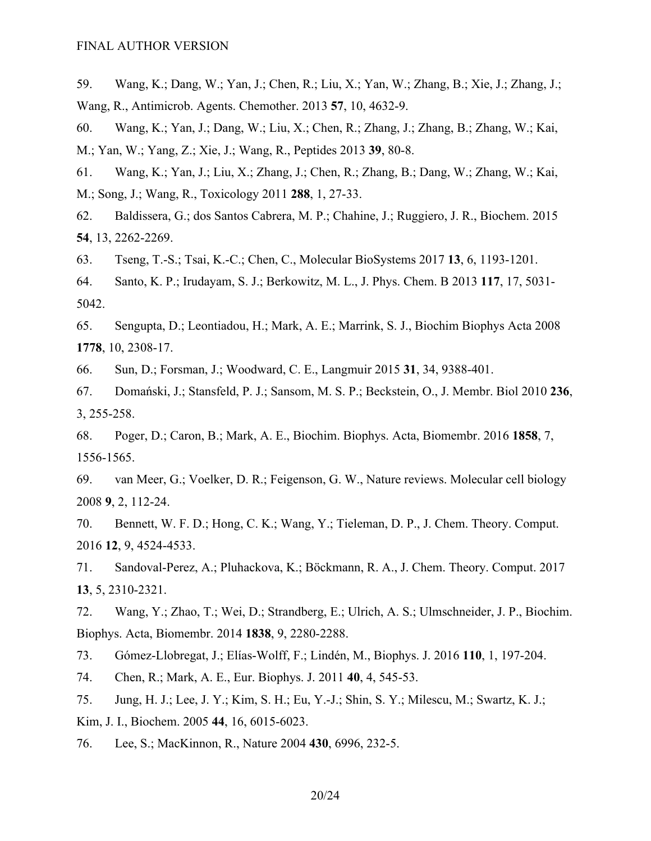59. Wang, K.; Dang, W.; Yan, J.; Chen, R.; Liu, X.; Yan, W.; Zhang, B.; Xie, J.; Zhang, J.; Wang, R., Antimicrob. Agents. Chemother. 2013 **57**, 10, 4632-9.

60. Wang, K.; Yan, J.; Dang, W.; Liu, X.; Chen, R.; Zhang, J.; Zhang, B.; Zhang, W.; Kai, M.; Yan, W.; Yang, Z.; Xie, J.; Wang, R., Peptides 2013 **39**, 80-8.

61. Wang, K.; Yan, J.; Liu, X.; Zhang, J.; Chen, R.; Zhang, B.; Dang, W.; Zhang, W.; Kai, M.; Song, J.; Wang, R., Toxicology 2011 **288**, 1, 27-33.

62. Baldissera, G.; dos Santos Cabrera, M. P.; Chahine, J.; Ruggiero, J. R., Biochem. 2015 **54**, 13, 2262-2269.

63. Tseng, T.-S.; Tsai, K.-C.; Chen, C., Molecular BioSystems 2017 **13**, 6, 1193-1201.

64. Santo, K. P.; Irudayam, S. J.; Berkowitz, M. L., J. Phys. Chem. B 2013 **117**, 17, 5031- 5042.

65. Sengupta, D.; Leontiadou, H.; Mark, A. E.; Marrink, S. J., Biochim Biophys Acta 2008 **1778**, 10, 2308-17.

66. Sun, D.; Forsman, J.; Woodward, C. E., Langmuir 2015 **31**, 34, 9388-401.

67. Domański, J.; Stansfeld, P. J.; Sansom, M. S. P.; Beckstein, O., J. Membr. Biol 2010 **236**, 3, 255-258.

68. Poger, D.; Caron, B.; Mark, A. E., Biochim. Biophys. Acta, Biomembr. 2016 **1858**, 7, 1556-1565.

69. van Meer, G.; Voelker, D. R.; Feigenson, G. W., Nature reviews. Molecular cell biology 2008 **9**, 2, 112-24.

70. Bennett, W. F. D.; Hong, C. K.; Wang, Y.; Tieleman, D. P., J. Chem. Theory. Comput. 2016 **12**, 9, 4524-4533.

71. Sandoval-Perez, A.; Pluhackova, K.; Böckmann, R. A., J. Chem. Theory. Comput. 2017 **13**, 5, 2310-2321.

72. Wang, Y.; Zhao, T.; Wei, D.; Strandberg, E.; Ulrich, A. S.; Ulmschneider, J. P., Biochim. Biophys. Acta, Biomembr. 2014 **1838**, 9, 2280-2288.

73. Gómez-Llobregat, J.; Elías-Wolff, F.; Lindén, M., Biophys. J. 2016 **110**, 1, 197-204.

74. Chen, R.; Mark, A. E., Eur. Biophys. J. 2011 **40**, 4, 545-53.

75. Jung, H. J.; Lee, J. Y.; Kim, S. H.; Eu, Y.-J.; Shin, S. Y.; Milescu, M.; Swartz, K. J.;

Kim, J. I., Biochem. 2005 **44**, 16, 6015-6023.

76. Lee, S.; MacKinnon, R., Nature 2004 **430**, 6996, 232-5.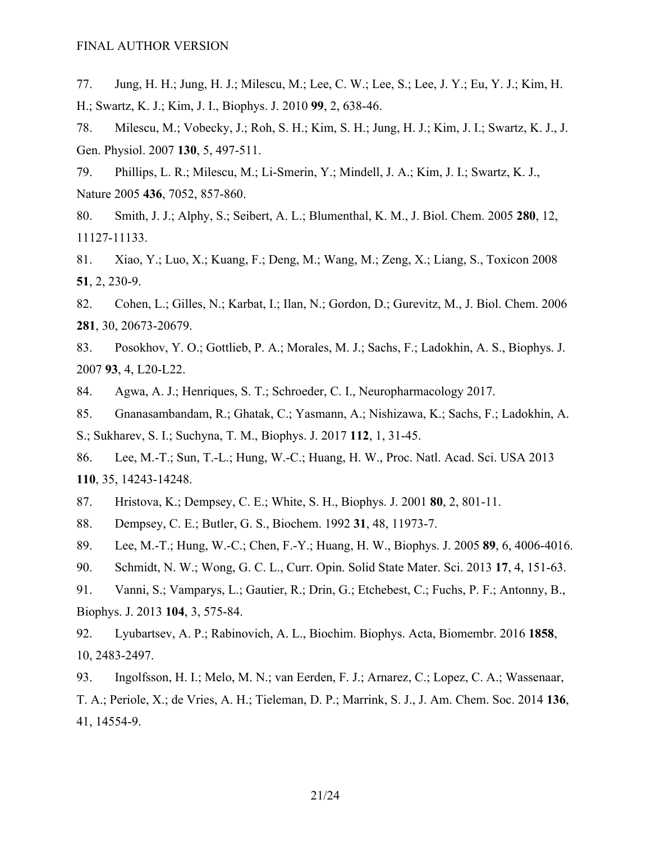77. Jung, H. H.; Jung, H. J.; Milescu, M.; Lee, C. W.; Lee, S.; Lee, J. Y.; Eu, Y. J.; Kim, H. H.; Swartz, K. J.; Kim, J. I., Biophys. J. 2010 **99**, 2, 638-46.

78. Milescu, M.; Vobecky, J.; Roh, S. H.; Kim, S. H.; Jung, H. J.; Kim, J. I.; Swartz, K. J., J. Gen. Physiol. 2007 **130**, 5, 497-511.

79. Phillips, L. R.; Milescu, M.; Li-Smerin, Y.; Mindell, J. A.; Kim, J. I.; Swartz, K. J., Nature 2005 **436**, 7052, 857-860.

80. Smith, J. J.; Alphy, S.; Seibert, A. L.; Blumenthal, K. M., J. Biol. Chem. 2005 **280**, 12, 11127-11133.

81. Xiao, Y.; Luo, X.; Kuang, F.; Deng, M.; Wang, M.; Zeng, X.; Liang, S., Toxicon 2008 **51**, 2, 230-9.

82. Cohen, L.; Gilles, N.; Karbat, I.; Ilan, N.; Gordon, D.; Gurevitz, M., J. Biol. Chem. 2006 **281**, 30, 20673-20679.

83. Posokhov, Y. O.; Gottlieb, P. A.; Morales, M. J.; Sachs, F.; Ladokhin, A. S., Biophys. J. 2007 **93**, 4, L20-L22.

84. Agwa, A. J.; Henriques, S. T.; Schroeder, C. I., Neuropharmacology 2017.

85. Gnanasambandam, R.; Ghatak, C.; Yasmann, A.; Nishizawa, K.; Sachs, F.; Ladokhin, A. S.; Sukharev, S. I.; Suchyna, T. M., Biophys. J. 2017 **112**, 1, 31-45.

86. Lee, M.-T.; Sun, T.-L.; Hung, W.-C.; Huang, H. W., Proc. Natl. Acad. Sci. USA 2013 **110**, 35, 14243-14248.

87. Hristova, K.; Dempsey, C. E.; White, S. H., Biophys. J. 2001 **80**, 2, 801-11.

88. Dempsey, C. E.; Butler, G. S., Biochem. 1992 **31**, 48, 11973-7.

89. Lee, M.-T.; Hung, W.-C.; Chen, F.-Y.; Huang, H. W., Biophys. J. 2005 **89**, 6, 4006-4016.

90. Schmidt, N. W.; Wong, G. C. L., Curr. Opin. Solid State Mater. Sci. 2013 **17**, 4, 151-63.

91. Vanni, S.; Vamparys, L.; Gautier, R.; Drin, G.; Etchebest, C.; Fuchs, P. F.; Antonny, B., Biophys. J. 2013 **104**, 3, 575-84.

92. Lyubartsev, A. P.; Rabinovich, A. L., Biochim. Biophys. Acta, Biomembr. 2016 **1858**, 10, 2483-2497.

93. Ingolfsson, H. I.; Melo, M. N.; van Eerden, F. J.; Arnarez, C.; Lopez, C. A.; Wassenaar, T. A.; Periole, X.; de Vries, A. H.; Tieleman, D. P.; Marrink, S. J., J. Am. Chem. Soc. 2014 **136**, 41, 14554-9.